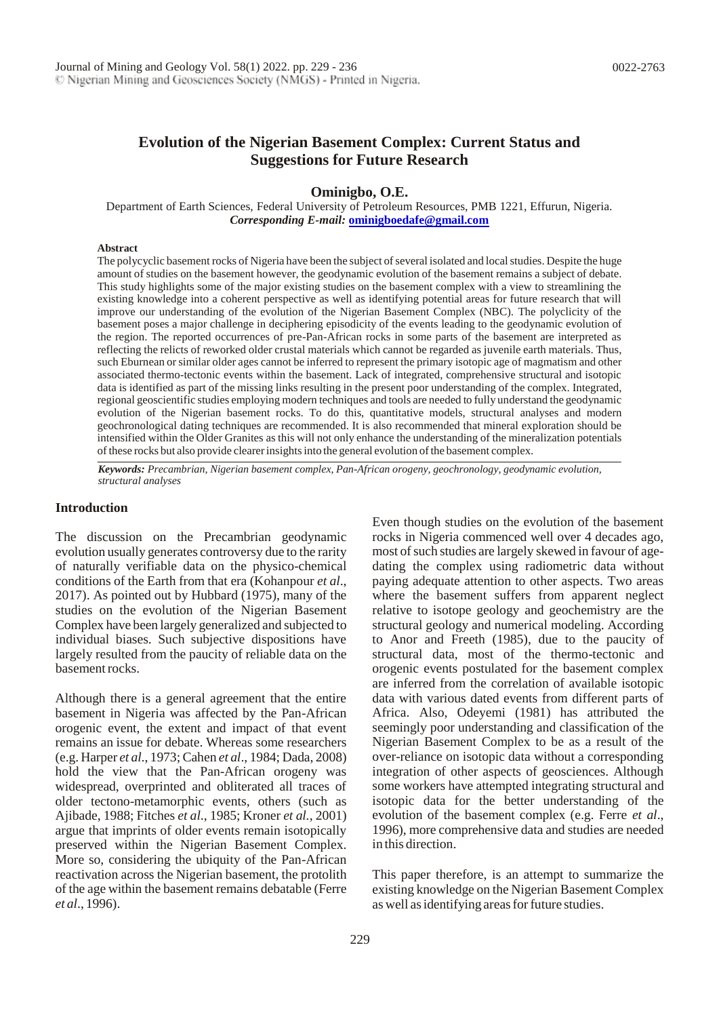# **Evolution of the Nigerian Basement Complex: Current Status and Suggestions for Future Research**

**Ominigbo, O.E.**

Department of Earth Sciences, Federal University of Petroleum Resources, PMB 1221, Effurun, Nigeria. *Corresponding E-mail:* **[ominigboedafe@gmail.com](mailto:ominigboedafe@gmail.com)**

#### **Abstract**

The polycyclic basement rocks of Nigeria have been the subject of several isolated and local studies. Despite the huge amount of studies on the basement however, the geodynamic evolution of the basement remains a subject of debate. This study highlights some of the major existing studies on the basement complex with a view to streamlining the existing knowledge into a coherent perspective as well as identifying potential areas for future research that will improve our understanding of the evolution of the Nigerian Basement Complex (NBC). The polyclicity of the basement poses a major challenge in deciphering episodicity of the events leading to the geodynamic evolution of the region. The reported occurrences of pre-Pan-African rocks in some parts of the basement are interpreted as reflecting the relicts of reworked older crustal materials which cannot be regarded as juvenile earth materials. Thus, such Eburnean orsimilar older ages cannot be inferred to represent the primary isotopic age of magmatism and other associated thermo-tectonic events within the basement. Lack of integrated, comprehensive structural and isotopic data is identified as part of the missing links resulting in the present poor understanding of the complex. Integrated, regional geoscientific studies employing modern techniques and tools are needed to fully understand the geodynamic evolution of the Nigerian basement rocks. To do this, quantitative models, structural analyses and modern geochronological dating techniques are recommended. It is also recommended that mineral exploration should be intensified within the Older Granites as this will not only enhance the understanding of the mineralization potentials ofthese rocks but also provide clearerinsightsinto the general evolution ofthe basement complex.

*Keywords: Precambrian, Nigerian basement complex, Pan-African orogeny, geochronology, geodynamic evolution, structural analyses*

#### **Introduction**

The discussion on the Precambrian geodynamic evolution usually generates controversy due to the rarity of naturally verifiable data on the physico-chemical conditions of the Earth from that era (Kohanpour *et al*., 2017). As pointed out by Hubbard (1975), many of the studies on the evolution of the Nigerian Basement Complex have been largely generalized and subjected to individual biases. Such subjective dispositions have largely resulted from the paucity of reliable data on the basementrocks.

Although there is a general agreement that the entire basement in Nigeria was affected by the Pan-African orogenic event, the extent and impact of that event remains an issue for debate. Whereas some researchers (e.g. Harper *et al*., 1973; Cahen *et al*., 1984; Dada, 2008) hold the view that the Pan-African orogeny was widespread, overprinted and obliterated all traces of older tectono-metamorphic events, others (such as Ajibade, 1988; Fitches *et al*., 1985; Kroner *et al.*, 2001) argue that imprints of older events remain isotopically preserved within the Nigerian Basement Complex. More so, considering the ubiquity of the Pan-African reactivation across the Nigerian basement, the protolith of the age within the basement remains debatable (Ferre *et al*., 1996).

Even though studies on the evolution of the basement rocks in Nigeria commenced well over 4 decades ago, most of such studies are largely skewed in favour of agedating the complex using radiometric data without paying adequate attention to other aspects. Two areas where the basement suffers from apparent neglect relative to isotope geology and geochemistry are the structural geology and numerical modeling. According to Anor and Freeth (1985), due to the paucity of structural data, most of the thermo-tectonic and orogenic events postulated for the basement complex are inferred from the correlation of available isotopic data with various dated events from different parts of Africa. Also, Odeyemi (1981) has attributed the seemingly poor understanding and classification of the Nigerian Basement Complex to be as a result of the over-reliance on isotopic data without a corresponding integration of other aspects of geosciences. Although some workers have attempted integrating structural and isotopic data for the better understanding of the evolution of the basement complex (e.g. Ferre *et al*., 1996), more comprehensive data and studies are needed in this direction.

This paper therefore, is an attempt to summarize the existing knowledge on the Nigerian Basement Complex as well as identifying areas for future studies.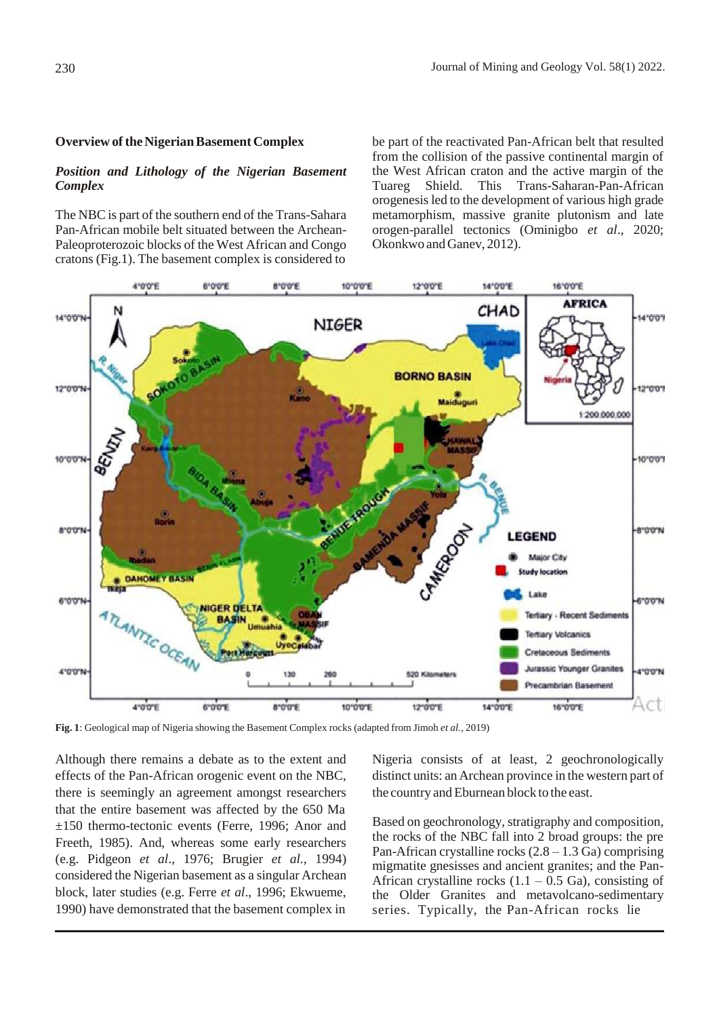### **Overview of the Nigerian Basement Complex**

### *Position and Lithology of the Nigerian Basement Complex*

The NBC is part of the southern end of the Trans-Sahara Pan-African mobile belt situated between the Archean-Paleoproterozoic blocks of the West African and Congo cratons (Fig.1). The basement complex is considered to

be part of the reactivated Pan-African belt that resulted from the collision of the passive continental margin of the West African craton and the active margin of the Tuareg Shield. This Trans-Saharan-Pan-African orogenesisled to the development of various high grade metamorphism, massive granite plutonism and late orogen-parallel tectonics (Ominigbo *et al*., 2020; Okonkwo and Ganev, 2012).



**Fig. 1**: Geological map of Nigeria showing the Basement Complex rocks (adapted from Jimoh *et al.*, 2019)

Although there remains a debate as to the extent and effects of the Pan-African orogenic event on the NBC, there is seemingly an agreement amongst researchers that the entire basement was affected by the 650 Ma ±150 thermo-tectonic events (Ferre, 1996; Anor and Freeth, 1985). And, whereas some early researchers (e.g. Pidgeon *et al*., 1976; Brugier *et al.,* 1994) considered the Nigerian basement as a singular Archean block, later studies (e.g. Ferre *et al*., 1996; Ekwueme, 1990) have demonstrated that the basement complex in

Nigeria consists of at least, 2 geochronologically distinct units: an Archean province in the western part of the country and Eburnean block to the east.

Based on geochronology, stratigraphy and composition, the rocks of the NBC fall into 2 broad groups: the pre Pan-African crystalline rocks  $(2.8 - 1.3 \text{ Ga})$  comprising migmatite gnesisses and ancient granites; and the Pan-African crystalline rocks  $(1.1 - 0.5 \text{ Ga})$ , consisting of the Older Granites and metavolcano-sedimentary series. Typically, the Pan-African rocks lie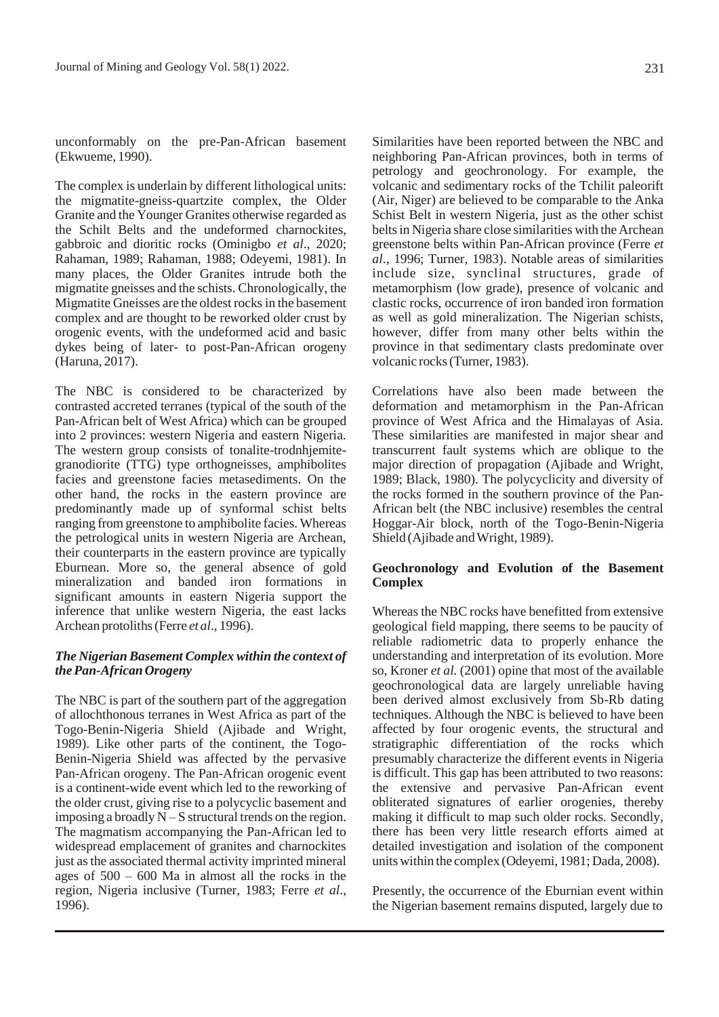unconformably on the pre-Pan-African basement (Ekwueme, 1990).

The complex is underlain by different lithological units: the migmatite-gneiss-quartzite complex, the Older Granite and the Younger Granites otherwise regarded as the Schilt Belts and the undeformed charnockites, gabbroic and dioritic rocks (Ominigbo *et al*., 2020; Rahaman, 1989; Rahaman, 1988; Odeyemi, 1981). In many places, the Older Granites intrude both the migmatite gneisses and the schists. Chronologically, the Migmatite Gneisses are the oldest rocks in the basement complex and are thought to be reworked older crust by orogenic events, with the undeformed acid and basic dykes being of later- to post-Pan-African orogeny (Haruna, 2017).

The NBC is considered to be characterized by contrasted accreted terranes (typical of the south of the Pan-African belt of West Africa) which can be grouped into 2 provinces: western Nigeria and eastern Nigeria. The western group consists of tonalite-trodnhjemitegranodiorite (TTG) type orthogneisses, amphibolites facies and greenstone facies metasediments. On the other hand, the rocks in the eastern province are predominantly made up of synformal schist belts ranging from greenstone to amphibolite facies. Whereas the petrological units in western Nigeria are Archean, their counterparts in the eastern province are typically Eburnean. More so, the general absence of gold mineralization and banded iron formations in significant amounts in eastern Nigeria support the inference that unlike western Nigeria, the east lacks Archean protoliths(Ferre *et al*., 1996).

## *The Nigerian Basement Complex within the context of thePan-AfricanOrogeny*

The NBC is part of the southern part of the aggregation of allochthonous terranes in West Africa as part of the Togo-Benin-Nigeria Shield (Ajibade and Wright, 1989). Like other parts of the continent, the Togo-Benin-Nigeria Shield was affected by the pervasive Pan-African orogeny. The Pan-African orogenic event is a continent-wide event which led to the reworking of the older crust, giving rise to a polycyclic basement and imposing a broadly  $N-S$  structural trends on the region. The magmatism accompanying the Pan-African led to widespread emplacement of granites and charnockites just as the associated thermal activity imprinted mineral ages of 500 – 600 Ma in almost all the rocks in the region, Nigeria inclusive (Turner, 1983; Ferre *et al*., 1996).

Similarities have been reported between the NBC and neighboring Pan-African provinces, both in terms of petrology and geochronology. For example, the volcanic and sedimentary rocks of the Tchilit paleorift (Air, Niger) are believed to be comparable to the Anka Schist Belt in western Nigeria, just as the other schist belts in Nigeria share close similarities with the Archean greenstone belts within Pan-African province (Ferre *et al*., 1996; Turner, 1983). Notable areas of similarities include size, synclinal structures, grade of metamorphism (low grade), presence of volcanic and clastic rocks, occurrence of iron banded iron formation as well as gold mineralization. The Nigerian schists, however, differ from many other belts within the province in that sedimentary clasts predominate over volcanic rocks(Turner, 1983).

Correlations have also been made between the deformation and metamorphism in the Pan-African province of West Africa and the Himalayas of Asia. These similarities are manifested in major shear and transcurrent fault systems which are oblique to the major direction of propagation (Ajibade and Wright, 1989; Black, 1980). The polycyclicity and diversity of the rocks formed in the southern province of the Pan-African belt (the NBC inclusive) resembles the central Hoggar-Air block, north of the Togo-Benin-Nigeria Shield (Ajibade and Wright, 1989).

## **Geochronology and Evolution of the Basement Complex**

Whereas the NBC rocks have benefitted from extensive geological field mapping, there seems to be paucity of reliable radiometric data to properly enhance the understanding and interpretation of its evolution. More so, Kroner *et al.* (2001) opine that most of the available geochronological data are largely unreliable having been derived almost exclusively from Sb-Rb dating techniques. Although the NBC is believed to have been affected by four orogenic events, the structural and stratigraphic differentiation of the rocks which presumably characterize the different events in Nigeria is difficult. This gap has been attributed to two reasons: the extensive and pervasive Pan-African event obliterated signatures of earlier orogenies, thereby making it difficult to map such older rocks. Secondly, there has been very little research efforts aimed at detailed investigation and isolation of the component unitswithin the complex (Odeyemi, 1981; Dada, 2008).

Presently, the occurrence of the Eburnian event within the Nigerian basement remains disputed, largely due to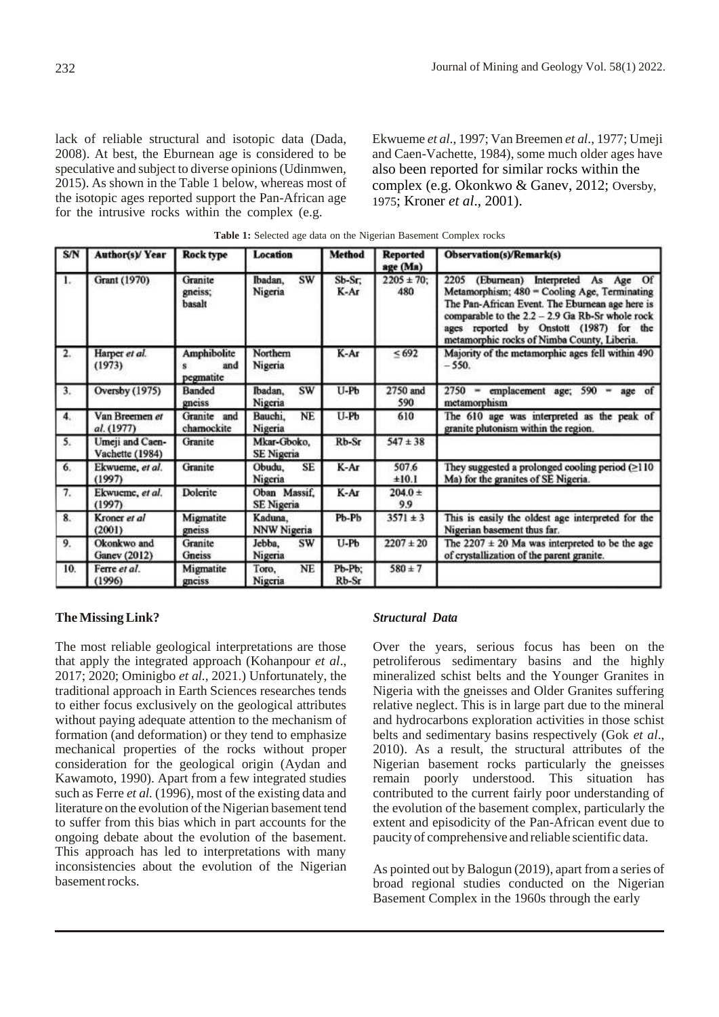lack of reliable structural and isotopic data (Dada, 2008). At best, the Eburnean age is considered to be speculative and subject to diverse opinions (Udinmwen, 2015). As shown in the Table 1 below, whereas most of the isotopic ages reported support the Pan-African age for the intrusive rocks within the complex (e.g.

Ekwueme *et al*., 1997; Van Breemen *et al*., 1977; Umeji and Caen-Vachette, 1984), some much older ages have also been reported for similar rocks within the complex (e.g. Okonkwo & Ganev, 2012; Oversby, 1975; Kroner *et al*., 2001).

| S/N | Author(s)/Year                     | Rock type                       | Location                          | <b>Method</b>   | <b>Reported</b><br>age (Ma) | <b>Observation(s)/Remark(s)</b>                                                                                                                                                                                                                                                          |
|-----|------------------------------------|---------------------------------|-----------------------------------|-----------------|-----------------------------|------------------------------------------------------------------------------------------------------------------------------------------------------------------------------------------------------------------------------------------------------------------------------------------|
| 1.  | Grant (1970)                       | Granite<br>gneiss;<br>basalt    | SW<br>Ibadan,<br>Nigeria          | $Sb-Sr$<br>K-Ar | $2205 \pm 70$ ;<br>480      | (Eburnean) Interpreted As Age Of<br>2205<br>Metamorphism; 480 = Cooling Age, Terminating<br>The Pan-African Event. The Eburnean age here is<br>comparable to the 2.2 - 2.9 Ga Rb-Sr whole rock<br>ages reported by Onstott (1987) for the<br>metamorphic rocks of Nimba County, Liberia. |
| 2.  | Harper et al.<br>(1973)            | Amphibolite<br>and<br>pegmatite | Northern<br>Nigeria               | K-Ar            | < 692                       | Majority of the metamorphic ages fell within 490<br>$-550.$                                                                                                                                                                                                                              |
| 3.  | Oversby (1975)                     | Banded<br>gneiss                | Ibadan,<br>SW<br>Nigeria          | $U-Pb$          | 2750 and<br>590             | $2750$ = emplacement age; 590<br>age of<br>$\qquad \qquad \blacksquare$<br>metamorphism                                                                                                                                                                                                  |
| 4.  | Van Breemen et<br>al. (1977)       | Granite and<br>chamockite       | <b>NE</b><br>Bauchi.<br>Nigeria   | U-Pb            | 610                         | The 610 age was interpreted as the peak of<br>granite plutonism within the region.                                                                                                                                                                                                       |
| 5.  | Umeji and Caen-<br>Vachette (1984) | Granite                         | Mkar-Gboko,<br><b>SE Nigeria</b>  | Rb-Sr           | $547 \pm 38$                |                                                                                                                                                                                                                                                                                          |
| 6.  | Ekwueme, et al.<br>(1997)          | Granite                         | SE<br>Obudu,<br>Nigeria           | K-Ar            | 507.6<br>±10.1              | They suggested a prolonged cooling period $( \geq 110$<br>Ma) for the granites of SE Nigeria.                                                                                                                                                                                            |
| 7.  | Ekwueme, et al.<br>(1997)          | Dolerite                        | Oban Massif.<br><b>SE</b> Nigeria | K-Ar            | $204.0 +$<br>9.9            |                                                                                                                                                                                                                                                                                          |
| 8.  | Kroner et al<br>(2001)             | Migmatite<br>gneiss             | Kaduna,<br><b>NNW Nigeria</b>     | Pb-Pb           | $3571 \pm 3$                | This is easily the oldest age interpreted for the<br>Nigerian basement thus far.                                                                                                                                                                                                         |
| 9.  | Okonkwo and<br>Ganev (2012)        | Granite<br><b>Gneiss</b>        | sw<br>Jebba,<br>Nigeria           | U-Pb            | $2207 \pm 20$               | The $2207 \pm 20$ Ma was interpreted to be the age<br>of crystallization of the parent granite.                                                                                                                                                                                          |
| 10. | Ferre et al.<br>(1996)             | Migmatite<br>gneiss             | NE<br>Toro,<br>Nigeria            | Pb-Pb;<br>Rb-Sr | $580 \pm 7$                 |                                                                                                                                                                                                                                                                                          |

**Table 1:** Selected age data on the Nigerian Basement Complex rocks

### **TheMissingLink?**

The most reliable geological interpretations are those that apply the integrated approach (Kohanpour *et al*., 2017; 2020; Ominigbo *et al.,* 2021.) Unfortunately, the traditional approach in Earth Sciences researches tends to either focus exclusively on the geological attributes without paying adequate attention to the mechanism of formation (and deformation) or they tend to emphasize mechanical properties of the rocks without proper consideration for the geological origin (Aydan and Kawamoto, 1990). Apart from a few integrated studies such as Ferre *et al.* (1996), most of the existing data and literature on the evolution of the Nigerian basement tend to suffer from this bias which in part accounts for the ongoing debate about the evolution of the basement. This approach has led to interpretations with many inconsistencies about the evolution of the Nigerian basementrocks.

### *Structural Data*

Over the years, serious focus has been on the petroliferous sedimentary basins and the highly mineralized schist belts and the Younger Granites in Nigeria with the gneisses and Older Granites suffering relative neglect. This is in large part due to the mineral and hydrocarbons exploration activities in those schist belts and sedimentary basins respectively (Gok *et al*., 2010). As a result, the structural attributes of the Nigerian basement rocks particularly the gneisses remain poorly understood. This situation has contributed to the current fairly poor understanding of the evolution of the basement complex, particularly the extent and episodicity of the Pan-African event due to paucity of comprehensive and reliable scientific data.

As pointed out by Balogun (2019), apart from a series of broad regional studies conducted on the Nigerian Basement Complex in the 1960s through the early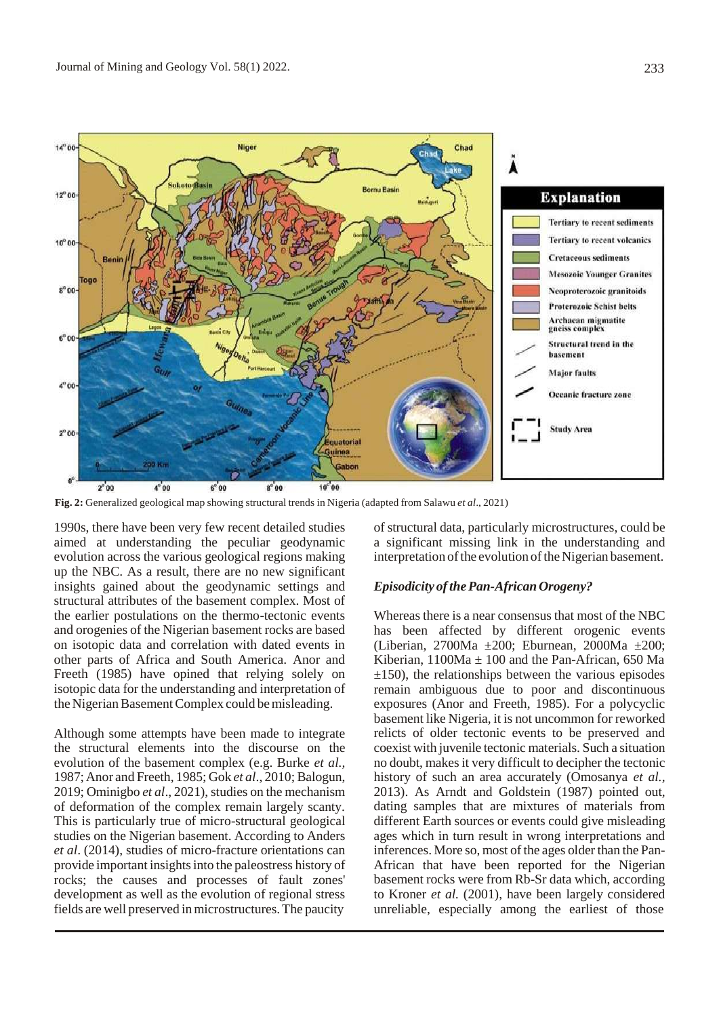

**Fig. 2:** Generalized geological map showing structural trends in Nigeria (adapted from Salawu *et al*., 2021)

1990s, there have been very few recent detailed studies aimed at understanding the peculiar geodynamic evolution across the various geological regions making up the NBC. As a result, there are no new significant insights gained about the geodynamic settings and structural attributes of the basement complex. Most of the earlier postulations on the thermo-tectonic events and orogenies of the Nigerian basement rocks are based on isotopic data and correlation with dated events in other parts of Africa and South America. Anor and Freeth (1985) have opined that relying solely on isotopic data for the understanding and interpretation of the Nigerian Basement Complex could be misleading.

Although some attempts have been made to integrate the structural elements into the discourse on the evolution of the basement complex (e.g. Burke *et al.,* 1987;Anor and Freeth, 1985; Gok *et al*., 2010; Balogun, 2019; Ominigbo et al., 2021), studies on the mechanism of deformation of the complex remain largely scanty. This is particularly true of micro-structural geological studies on the Nigerian basement. According to Anders *et al*. (2014), studies of micro-fracture orientations can provide important insights into the paleostress history of rocks; the causes and processes of fault zones' development as well as the evolution of regional stress fields are well preserved inmicrostructures.The paucity

of structural data, particularly microstructures, could be a significant missing link in the understanding and interpretation of the evolution of the Nigerian basement.

### *Episodicity* of the Pan-African Orogeny?

Whereas there is a near consensus that most of the NBC has been affected by different orogenic events (Liberian, 2700Ma ±200; Eburnean, 2000Ma ±200; Kiberian,  $1100Ma + 100$  and the Pan-African, 650 Ma  $\pm$ 150), the relationships between the various episodes remain ambiguous due to poor and discontinuous exposures (Anor and Freeth, 1985). For a polycyclic basement like Nigeria, it is not uncommon for reworked relicts of older tectonic events to be preserved and coexist with juvenile tectonic materials. Such a situation no doubt, makesit very difficult to decipher the tectonic history of such an area accurately (Omosanya *et al.,* 2013). As Arndt and Goldstein (1987) pointed out, dating samples that are mixtures of materials from different Earth sources or events could give misleading ages which in turn result in wrong interpretations and inferences. More so, most of the ages older than the Pan-African that have been reported for the Nigerian basement rocks were from Rb-Sr data which, according to Kroner *et al.* (2001), have been largely considered unreliable, especially among the earliest of those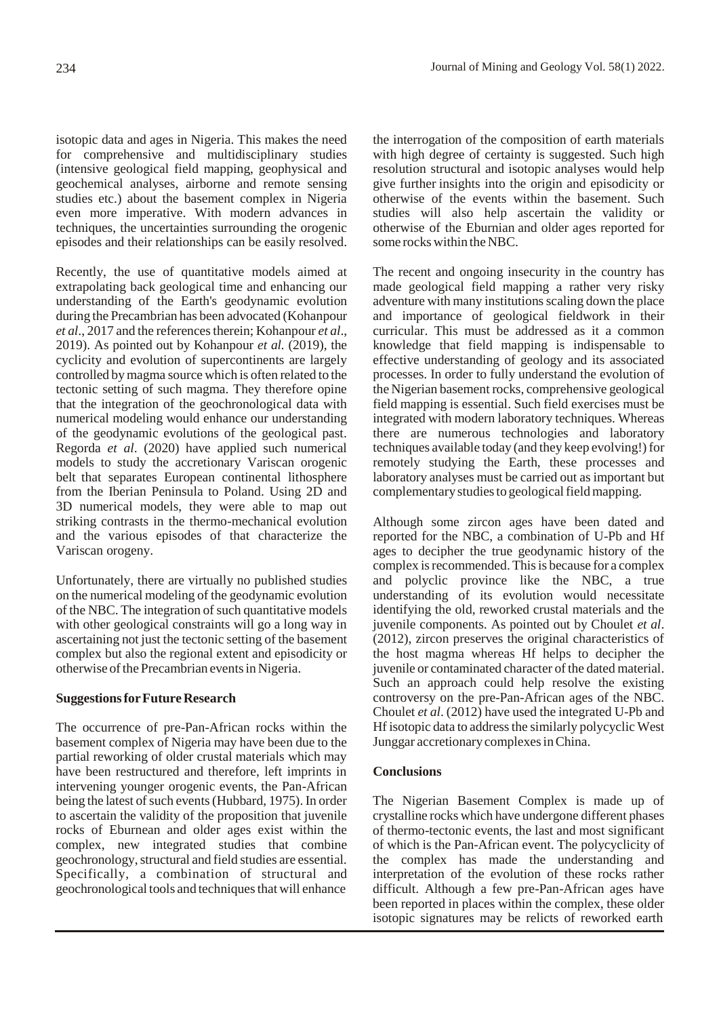isotopic data and ages in Nigeria. This makes the need for comprehensive and multidisciplinary studies (intensive geological field mapping, geophysical and geochemical analyses, airborne and remote sensing studies etc.) about the basement complex in Nigeria even more imperative. With modern advances in techniques, the uncertainties surrounding the orogenic episodes and their relationships can be easily resolved.

Recently, the use of quantitative models aimed at extrapolating back geological time and enhancing our understanding of the Earth's geodynamic evolution during the Precambrian has been advocated (Kohanpour *et al.*, 2017 and the references therein; Kohanpour *et al.*, 2019). As pointed out by Kohanpour *et al.* (2019), the cyclicity and evolution of supercontinents are largely controlled bymagma source which is often related to the tectonic setting of such magma. They therefore opine that the integration of the geochronological data with numerical modeling would enhance our understanding of the geodynamic evolutions of the geological past. Regorda *et al*. (2020) have applied such numerical models to study the accretionary Variscan orogenic belt that separates European continental lithosphere from the Iberian Peninsula to Poland. Using 2D and 3D numerical models, they were able to map out striking contrasts in the thermo-mechanical evolution and the various episodes of that characterize the Variscan orogeny.

Unfortunately, there are virtually no published studies on the numerical modeling of the geodynamic evolution of the NBC. The integration of such quantitative models with other geological constraints will go a long way in ascertaining not just the tectonic setting of the basement complex but also the regional extent and episodicity or otherwise of the Precambrian events in Nigeria.

## **SuggestionsforFuture Research**

The occurrence of pre-Pan-African rocks within the basement complex of Nigeria may have been due to the partial reworking of older crustal materials which may have been restructured and therefore, left imprints in intervening younger orogenic events, the Pan-African being the latest of such events (Hubbard, 1975). In order to ascertain the validity of the proposition that juvenile rocks of Eburnean and older ages exist within the complex, new integrated studies that combine geochronology, structural and field studies are essential. Specifically, a combination of structural and geochronological tools and techniques that will enhance

the interrogation of the composition of earth materials with high degree of certainty is suggested. Such high resolution structural and isotopic analyses would help give further insights into the origin and episodicity or otherwise of the events within the basement. Such studies will also help ascertain the validity or otherwise of the Eburnian and older ages reported for some rocks within the NBC.

The recent and ongoing insecurity in the country has made geological field mapping a rather very risky adventure with many institutions scaling down the place and importance of geological fieldwork in their curricular. This must be addressed as it a common knowledge that field mapping is indispensable to effective understanding of geology and its associated processes. In order to fully understand the evolution of the Nigerian basement rocks, comprehensive geological field mapping is essential. Such field exercises must be integrated with modern laboratory techniques. Whereas there are numerous technologies and laboratory techniques available today (and they keep evolving!) for remotely studying the Earth, these processes and laboratory analyses must be carried out asimportant but complementary studies to geological field mapping.

Although some zircon ages have been dated and reported for the NBC, a combination of U-Pb and Hf ages to decipher the true geodynamic history of the complex is recommended. This is because for a complex and polyclic province like the NBC, a true understanding of its evolution would necessitate identifying the old, reworked crustal materials and the juvenile components. As pointed out by Choulet *et al*. (2012), zircon preserves the original characteristics of the host magma whereas Hf helps to decipher the juvenile or contaminated character of the dated material. Such an approach could help resolve the existing controversy on the pre-Pan-African ages of the NBC. Choulet *et al*. (2012) have used the integrated U-Pb and Hf isotopic data to address the similarly polycyclic West Junggar accretionary complexesinChina.

## **Conclusions**

The Nigerian Basement Complex is made up of crystalline rocks which have undergone different phases of thermo-tectonic events, the last and most significant of which is the Pan-African event. The polycyclicity of the complex has made the understanding and interpretation of the evolution of these rocks rather difficult. Although a few pre-Pan-African ages have been reported in places within the complex, these older isotopic signatures may be relicts of reworked earth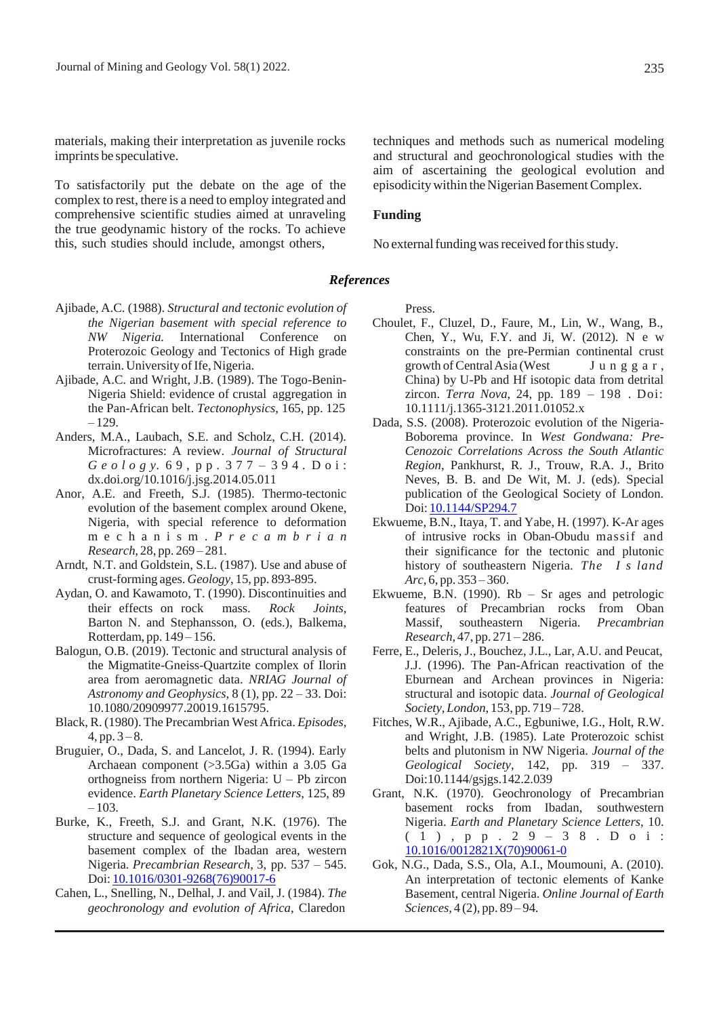materials, making their interpretation as juvenile rocks imprints be speculative.

To satisfactorily put the debate on the age of the complex to rest, there is a need to employ integrated and comprehensive scientific studies aimed at unraveling the true geodynamic history of the rocks. To achieve this, such studies should include, amongst others,

techniques and methods such as numerical modeling and structural and geochronological studies with the aim of ascertaining the geological evolution and episodicity within the Nigerian Basement Complex.

#### **Funding**

No external funding was received for this study.

#### *References*

- Ajibade, A.C. (1988). *Structural and tectonic evolution of the Nigerian basement with special reference to NW Nigeria.* International Conference on Proterozoic Geology and Tectonics of High grade terrain. University of Ife, Nigeria.
- Ajibade, A.C. and Wright, J.B. (1989). The Togo-Benin-Nigeria Shield: evidence of crustal aggregation in the Pan-African belt. *Tectonophysics*, 165, pp. 125 – 129.
- Anders, M.A., Laubach, S.E. and Scholz, C.H. (2014). Microfractures: A review. *Journal of Structural G e o l o g y.* 6 9 , p p . 3 7 7 – 3 9 4 *.* D o i : dx.doi.org/10.1016/j.jsg.2014.05.011
- Anor, A.E. and Freeth, S.J. (1985). Thermo-tectonic evolution of the basement complex around Okene, Nigeria, with special reference to deformation m e c h a n i s m . *P r e c a m b r i a n Research,* 28, pp. 269 – 281*.*
- Arndt, N.T. and Goldstein, S.L. (1987). Use and abuse of crust-forming ages. *Geology*, 15, pp. 893-895.
- Aydan, O. and Kawamoto, T. (1990). Discontinuities and their effects on rock mass. *Rock Joints*, Barton N. and Stephansson, O. (eds.), Balkema, Rotterdam, pp. 149 – 156.
- Balogun, O.B. (2019). Tectonic and structural analysis of the Migmatite-Gneiss-Quartzite complex of Ilorin area from aeromagnetic data. *NRIAG Journal of Astronomy and Geophysics*, 8 (1), pp. 22 – 33. Doi: 10.1080/20909977.20019.1615795.
- Black, R. (1980). The Precambrian West Africa. *Episodes*,  $4, pp. 3-8.$
- Bruguier, O., Dada, S. and Lancelot, J. R. (1994). Early Archaean component (>3.5Ga) within a 3.05 Ga orthogneiss from northern Nigeria: U – Pb zircon evidence. *Earth Planetary Science Letters*, 125, 89  $-103.$
- Burke, K., Freeth, S.J. and Grant, N.K. (1976). The structure and sequence of geological events in the basement complex of the Ibadan area, western Nigeria*. Precambrian Research*, 3, pp. 537 – 545. Doi: 10.1016/0301-9268(76)90017-6
- Cahen, L., Snelling, N., Delhal, J. and Vail, J. (1984). *The geochronology and evolution of Africa*, Claredon

Press.

- Choulet, F., Cluzel, D., Faure, M., Lin, W., Wang, B., Chen, Y., Wu, F.Y. and Ji, W. (2012). N e w constraints on the pre-Permian continental crust growth of Central Asia (West Junggar, China) by U-Pb and Hf isotopic data from detrital zircon. *Terra Nova*, 24, pp. 189 – 198 . Doi: 10.1111/j.1365-3121.2011.01052.x
- Dada, S.S. (2008). Proterozoic evolution of the Nigeria-Boborema province. In *West Gondwana: Pre-Cenozoic Correlations Across the South Atlantic Region*, Pankhurst, R. J., Trouw, R.A. J., Brito Neves, B. B. and De Wit, M. J. (eds). Special publication of the Geological Society of London. Doi: 10.1144/SP294.7
- Ekwueme, B.N., Itaya, T. and Yabe, H. (1997). K-Ar ages of intrusive rocks in Oban-Obudu massif and their significance for the tectonic and plutonic history of southeastern Nigeria. *The I s land Arc*, 6, pp. 353 – 360.
- Ekwueme, B.N. (1990). Rb Sr ages and petrologic features of Precambrian rocks from Oban Massif, southeastern Nigeria. *Precambrian Research*, 47, pp. 271 – 286.
- Ferre, E., Deleris, J., Bouchez, J.L., Lar, A.U. and Peucat, J.J. (1996). The Pan-African reactivation of the Eburnean and Archean provinces in Nigeria: structural and isotopic data. *Journal of Geological Society, London*, 153, pp. 719 – 728.
- Fitches, W.R., Ajibade, A.C., Egbuniwe, I.G., Holt, R.W. and Wright, J.B. (1985). Late Proterozoic schist belts and plutonism in NW Nigeria. *Journal of the Geological Society*, 142, pp. 319 – 337. Doi:10.1144/gsjgs.142.2.039
- Grant, N.K. (1970). Geochronology of Precambrian basement rocks from Ibadan, southwestern Nigeria. *Earth and Planetary Science Letters*, 10. ( 1 ) , p p . 2 9 – 3 8 . D o i : 10.1016/0012821X(70)90061-0
- Gok, N.G., Dada, S.S., Ola, A.I., Moumouni, A. (2010). An interpretation of tectonic elements of Kanke Basement, central Nigeria. *Online Journal of Earth Sciences,* 4 (2), pp. 89 – 94.